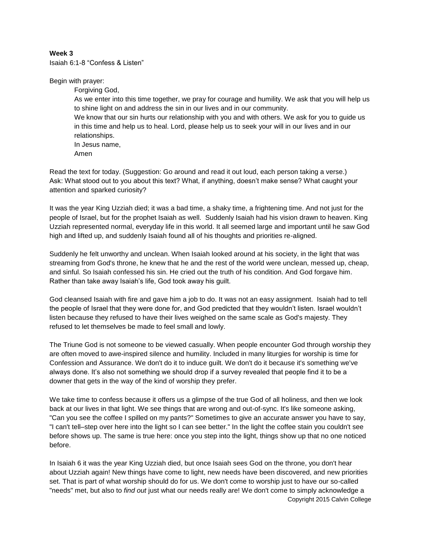## **Week 3**

Isaiah 6:1-8 "Confess & Listen"

Begin with prayer:

Forgiving God, As we enter into this time together, we pray for courage and humility. We ask that you will help us to shine light on and address the sin in our lives and in our community. We know that our sin hurts our relationship with you and with others. We ask for you to guide us in this time and help us to heal. Lord, please help us to seek your will in our lives and in our relationships. In Jesus name, Amen

Read the text for today. (Suggestion: Go around and read it out loud, each person taking a verse.) Ask: What stood out to you about this text? What, if anything, doesn't make sense? What caught your attention and sparked curiosity?

It was the year King Uzziah died; it was a bad time, a shaky time, a frightening time. And not just for the people of Israel, but for the prophet Isaiah as well. Suddenly Isaiah had his vision drawn to heaven. King Uzziah represented normal, everyday life in this world. It all seemed large and important until he saw God high and lifted up, and suddenly Isaiah found all of his thoughts and priorities re-aligned.

Suddenly he felt unworthy and unclean. When Isaiah looked around at his society, in the light that was streaming from God's throne, he knew that he and the rest of the world were unclean, messed up, cheap, and sinful. So Isaiah confessed his sin. He cried out the truth of his condition. And God forgave him. Rather than take away Isaiah's life, God took away his guilt.

God cleansed Isaiah with fire and gave him a job to do. It was not an easy assignment. Isaiah had to tell the people of Israel that they were done for, and God predicted that they wouldn't listen. Israel wouldn't listen because they refused to have their lives weighed on the same scale as God's majesty. They refused to let themselves be made to feel small and lowly.

The Triune God is not someone to be viewed casually. When people encounter God through worship they are often moved to awe-inspired silence and humility. Included in many liturgies for worship is time for Confession and Assurance. We don't do it to induce guilt. We don't do it because it's something we've always done. It's also not something we should drop if a survey revealed that people find it to be a downer that gets in the way of the kind of worship they prefer.

We take time to confess because it offers us a glimpse of the true God of all holiness, and then we look back at our lives in that light. We see things that are wrong and out-of-sync. It's like someone asking, "Can you see the coffee I spilled on my pants?" Sometimes to give an accurate answer you have to say, "I can't tell–step over here into the light so I can see better." In the light the coffee stain you couldn't see before shows up. The same is true here: once you step into the light, things show up that no one noticed before.

Copyright 2015 Calvin College In Isaiah 6 it was the year King Uzziah died, but once Isaiah sees God on the throne, you don't hear about Uzziah again! New things have come to light, new needs have been discovered, and new priorities set. That is part of what worship should do for us. We don't come to worship just to have our so-called "needs" met, but also to *find out* just what our needs really are! We don't come to simply acknowledge a